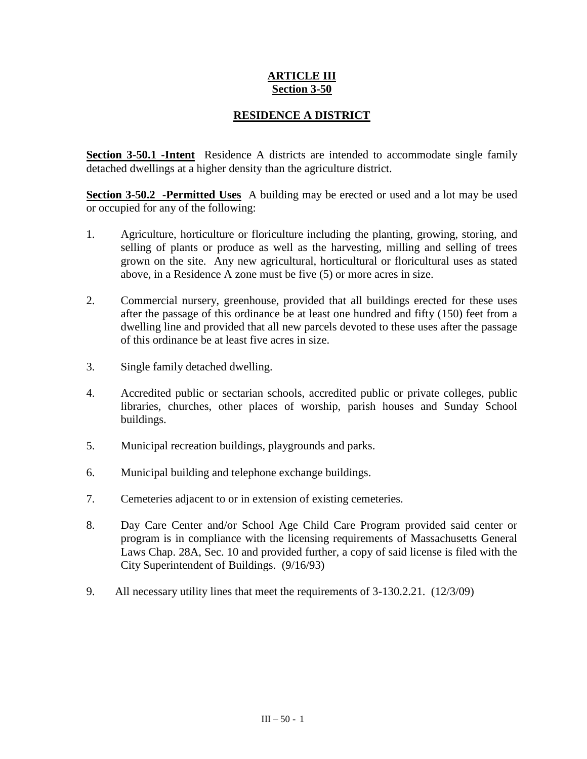## **ARTICLE III Section 3-50**

## **RESIDENCE A DISTRICT**

**Section 3-50.1 -Intent** Residence A districts are intended to accommodate single family detached dwellings at a higher density than the agriculture district.

**Section 3-50.2 -Permitted Uses** A building may be erected or used and a lot may be used or occupied for any of the following:

- 1. Agriculture, horticulture or floriculture including the planting, growing, storing, and selling of plants or produce as well as the harvesting, milling and selling of trees grown on the site. Any new agricultural, horticultural or floricultural uses as stated above, in a Residence A zone must be five (5) or more acres in size.
- 2. Commercial nursery, greenhouse, provided that all buildings erected for these uses after the passage of this ordinance be at least one hundred and fifty (150) feet from a dwelling line and provided that all new parcels devoted to these uses after the passage of this ordinance be at least five acres in size.
- 3. Single family detached dwelling.
- 4. Accredited public or sectarian schools, accredited public or private colleges, public libraries, churches, other places of worship, parish houses and Sunday School buildings.
- 5. Municipal recreation buildings, playgrounds and parks.
- 6. Municipal building and telephone exchange buildings.
- 7. Cemeteries adjacent to or in extension of existing cemeteries.
- 8. Day Care Center and/or School Age Child Care Program provided said center or program is in compliance with the licensing requirements of Massachusetts General Laws Chap. 28A, Sec. 10 and provided further, a copy of said license is filed with the City Superintendent of Buildings. (9/16/93)
- 9. All necessary utility lines that meet the requirements of 3-130.2.21. (12/3/09)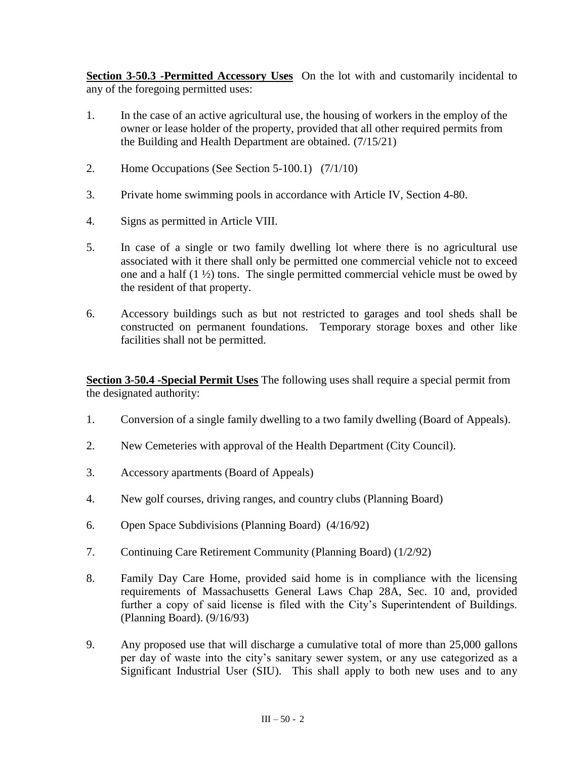**Section 3-50.3 -Permitted Accessory Uses** On the lot with and customarily incidental to any of the foregoing permitted uses:

- 1. In the case of an active agricultural use, the housing of workers in the employ of the owner or lease holder of the property, provided that all other required permits from the Building and Health Department are obtained. (7/15/21)
- 2. Home Occupations (See Section 5-100.1) (7/1/10)
- 3. Private home swimming pools in accordance with Article IV, Section 4-80.
- 4. Signs as permitted in Article VIII.
- 5. In case of a single or two family dwelling lot where there is no agricultural use associated with it there shall only be permitted one commercial vehicle not to exceed one and a half  $(1 \frac{1}{2})$  tons. The single permitted commercial vehicle must be owed by the resident of that property.
- 6. Accessory buildings such as but not restricted to garages and tool sheds shall be constructed on permanent foundations. Temporary storage boxes and other like facilities shall not be permitted.

**Section 3-50.4 -Special Permit Uses** The following uses shall require a special permit from the designated authority:

- 1. Conversion of a single family dwelling to a two family dwelling (Board of Appeals).
- 2. New Cemeteries with approval of the Health Department (City Council).
- 3. Accessory apartments (Board of Appeals)
- 4. New golf courses, driving ranges, and country clubs (Planning Board)
- 6. Open Space Subdivisions (Planning Board) (4/16/92)
- 7. Continuing Care Retirement Community (Planning Board) (1/2/92)
- 8. Family Day Care Home, provided said home is in compliance with the licensing requirements of Massachusetts General Laws Chap 28A, Sec. 10 and, provided further a copy of said license is filed with the City's Superintendent of Buildings. (Planning Board). (9/16/93)
- 9. Any proposed use that will discharge a cumulative total of more than 25,000 gallons per day of waste into the city's sanitary sewer system, or any use categorized as a Significant Industrial User (SIU). This shall apply to both new uses and to any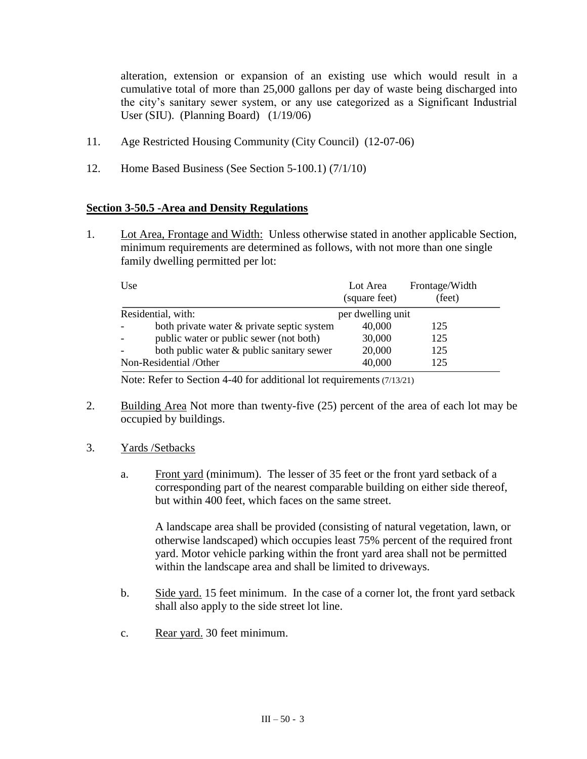alteration, extension or expansion of an existing use which would result in a cumulative total of more than 25,000 gallons per day of waste being discharged into the city's sanitary sewer system, or any use categorized as a Significant Industrial User (SIU). (Planning Board) (1/19/06)

- 11. Age Restricted Housing Community (City Council) (12-07-06)
- 12. Home Based Business (See Section 5-100.1) (7/1/10)

## **Section 3-50.5 -Area and Density Regulations**

1. Lot Area, Frontage and Width: Unless otherwise stated in another applicable Section, minimum requirements are determined as follows, with not more than one single family dwelling permitted per lot:

| Use                    |                                            | Lot Area<br>(square feet) | Frontage/Width<br>(feet) |
|------------------------|--------------------------------------------|---------------------------|--------------------------|
| Residential, with:     |                                            | per dwelling unit         |                          |
|                        | both private water & private septic system | 40,000                    | 125                      |
|                        | public water or public sewer (not both)    | 30,000                    | 125                      |
|                        | both public water & public sanitary sewer  | 20,000                    | 125                      |
| Non-Residential /Other |                                            | 40,000                    | 125                      |

Note: Refer to Section 4-40 for additional lot requirements (7/13/21)

- 2. Building Area Not more than twenty-five (25) percent of the area of each lot may be occupied by buildings.
- 3. Yards /Setbacks
	- a. Front yard (minimum). The lesser of 35 feet or the front yard setback of a corresponding part of the nearest comparable building on either side thereof, but within 400 feet, which faces on the same street.

A landscape area shall be provided (consisting of natural vegetation, lawn, or otherwise landscaped) which occupies least 75% percent of the required front yard. Motor vehicle parking within the front yard area shall not be permitted within the landscape area and shall be limited to driveways.

- b. Side yard. 15 feet minimum. In the case of a corner lot, the front yard setback shall also apply to the side street lot line.
- c. Rear yard. 30 feet minimum.